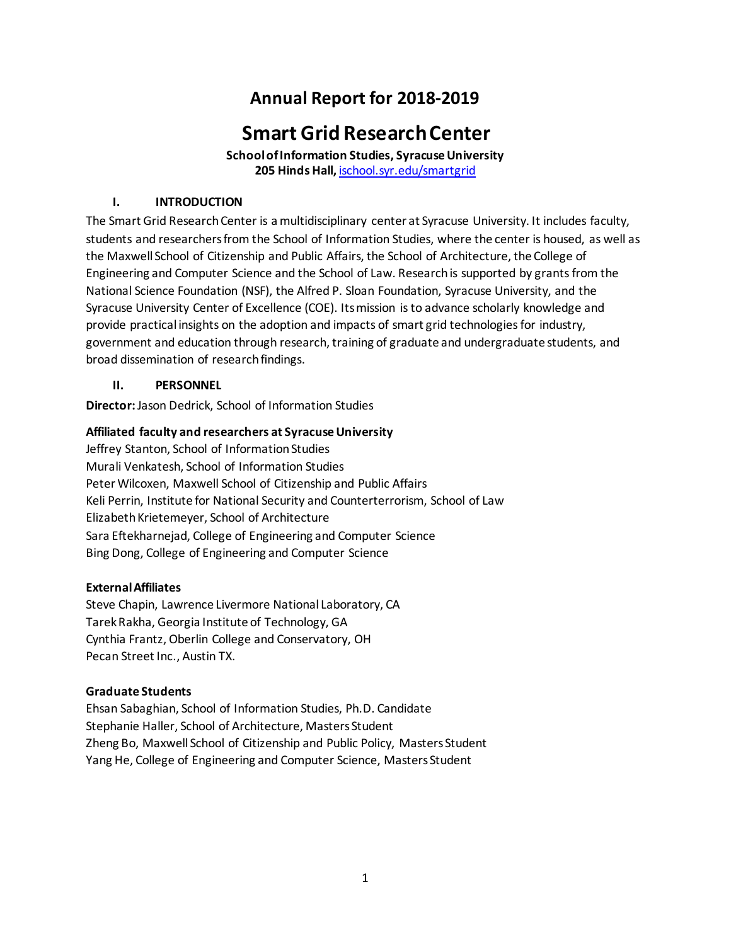## **Annual Report for 2018-2019**

# **Smart Grid Research Center**

**School of Information Studies, Syracuse University 205 Hinds Hall,** [ischool.syr.edu/smartgrid](https://ischool.syr.edu/smartgrid)

## **I. INTRODUCTION**

The Smart Grid Research Center is a multidisciplinary center at Syracuse University. It includes faculty, students and researchers from the School of Information Studies, where the center is housed, as well as the Maxwell School of Citizenship and Public Affairs, the School of Architecture, the College of Engineering and Computer Science and the School of Law. Research is supported by grants from the National Science Foundation (NSF), the Alfred P. Sloan Foundation, Syracuse University, and the Syracuse University Center of Excellence (COE). Its mission is to advance scholarly knowledge and provide practical insights on the adoption and impacts of smart grid technologies for industry, government and education through research, training of graduate and undergraduate students, and broad dissemination of research findings.

## **II. PERSONNEL**

**Director:** Jason Dedrick, School of Information Studies

## **Affiliated faculty and researchers at Syracuse University**

Jeffrey Stanton, School of Information Studies Murali Venkatesh, School of Information Studies Peter Wilcoxen, Maxwell School of Citizenship and Public Affairs Keli Perrin, Institute for National Security and Counterterrorism, School of Law Elizabeth Krietemeyer, School of Architecture Sara Eftekharnejad, College of Engineering and Computer Science Bing Dong, College of Engineering and Computer Science

## **External Affiliates**

Steve Chapin, Lawrence Livermore National Laboratory, CA Tarek Rakha, Georgia Institute of Technology, GA Cynthia Frantz, Oberlin College and Conservatory, OH Pecan Street Inc., Austin TX.

## **Graduate Students**

Ehsan Sabaghian, School of Information Studies, Ph.D. Candidate Stephanie Haller, School of Architecture, Masters Student Zheng Bo, Maxwell School of Citizenship and Public Policy, Masters Student Yang He, College of Engineering and Computer Science, Masters Student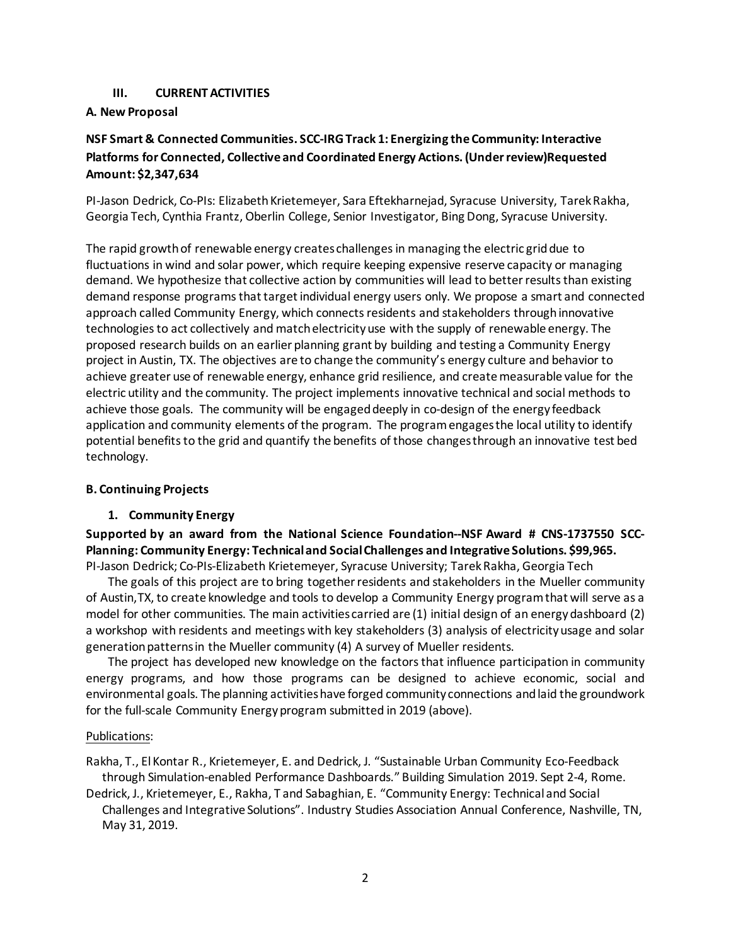#### **III. CURRENT ACTIVITIES**

#### **A. New Proposal**

## **NSF Smart & Connected Communities. SCC-IRG Track 1: Energizing the Community: Interactive Platforms for Connected, Collective and Coordinated Energy Actions. (Under review)Requested Amount: \$2,347,634**

PI-Jason Dedrick, Co-PIs: Elizabeth Krietemeyer, Sara Eftekharnejad, Syracuse University, Tarek Rakha, Georgia Tech, Cynthia Frantz, Oberlin College, Senior Investigator, Bing Dong, Syracuse University.

The rapid growth of renewable energy creates challenges in managing the electric grid due to fluctuations in wind and solar power, which require keeping expensive reserve capacity or managing demand. We hypothesize that collective action by communities will lead to better results than existing demand response programs that target individual energy users only. We propose a smart and connected approach called Community Energy, which connects residents and stakeholders through innovative technologies to act collectively and match electricity use with the supply of renewable energy. The proposed research builds on an earlier planning grant by building and testing a Community Energy project in Austin, TX. The objectives are to change the community's energy culture and behavior to achieve greater use of renewable energy, enhance grid resilience, and create measurable value for the electric utility and the community. The project implements innovative technical and social methods to achieve those goals. The community will be engaged deeply in co-design of the energy feedback application and community elements of the program. The program engages the local utility to identify potential benefits to the grid and quantify the benefits of those changes through an innovative test bed technology.

#### **B. Continuing Projects**

#### **1. Community Energy**

**Supported by an award from the National Science Foundation--NSF Award # CNS-1737550 SCC-Planning: Community Energy: Technical and Social Challenges and Integrative Solutions. \$99,965.** PI-Jason Dedrick; Co-PIs-Elizabeth Krietemeyer, Syracuse University; Tarek Rakha, Georgia Tech

The goals of this project are to bring together residents and stakeholders in the Mueller community of Austin,TX, to create knowledge and tools to develop a Community Energy program that will serve as a model for other communities. The main activities carried are (1) initial design of an energy dashboard (2) a workshop with residents and meetings with key stakeholders (3) analysis of electricity usage and solar generation patterns in the Mueller community (4) A survey of Mueller residents.

The project has developed new knowledge on the factors that influence participation in community energy programs, and how those programs can be designed to achieve economic, social and environmental goals. The planning activities have forged community connections and laid the groundwork for the full-scale Community Energy program submitted in 2019 (above).

#### Publications:

Rakha, T., El Kontar R., Krietemeyer, E. and Dedrick, J. "Sustainable Urban Community Eco-Feedback through Simulation-enabled Performance Dashboards." Building Simulation 2019. Sept 2-4, Rome.

Dedrick, J., Krietemeyer, E., Rakha, T and Sabaghian, E. "Community Energy: Technical and Social Challenges and Integrative Solutions". Industry Studies Association Annual Conference, Nashville, TN, May 31, 2019.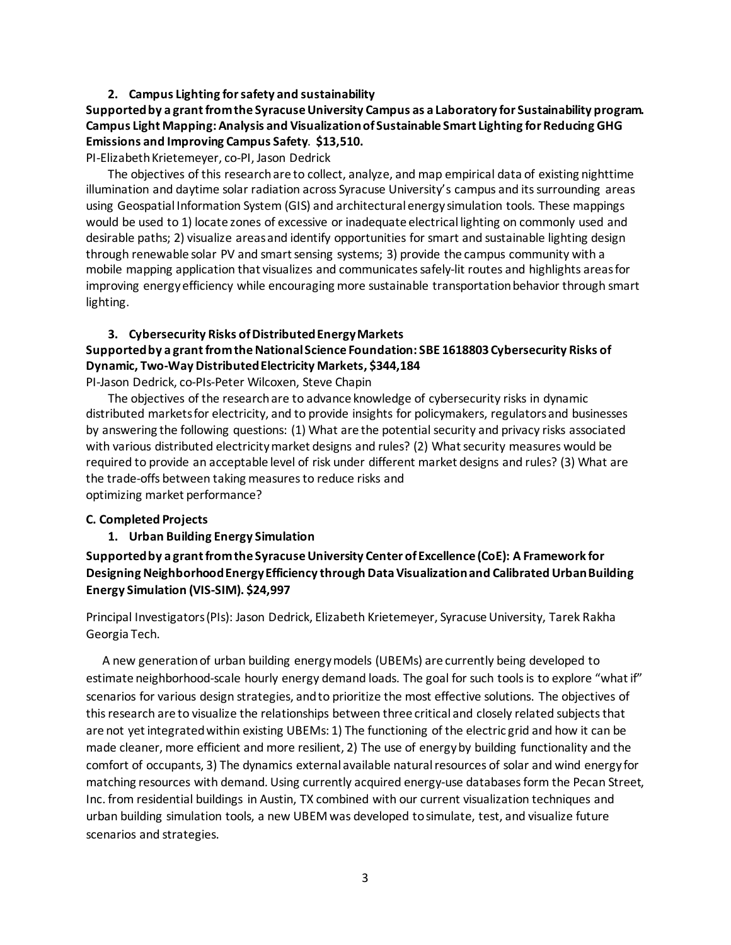#### **2. Campus Lighting for safety and sustainability**

## **Supported by a grant from the Syracuse University Campus as a Laboratory for Sustainability program. Campus Light Mapping: Analysis and Visualization of Sustainable Smart Lighting for Reducing GHG Emissions and Improving Campus Safety**. **\$13,510.**

PI-Elizabeth Krietemeyer, co-PI, Jason Dedrick

The objectives of this research are to collect, analyze, and map empirical data of existing nighttime illumination and daytime solar radiation across Syracuse University's campus and its surrounding areas using Geospatial Information System (GIS) and architectural energy simulation tools. These mappings would be used to 1) locate zones of excessive or inadequate electrical lighting on commonly used and desirable paths; 2) visualize areas and identify opportunities for smart and sustainable lighting design through renewable solar PV and smart sensing systems; 3) provide the campus community with a mobile mapping application that visualizes and communicates safely-lit routes and highlights areas for improving energy efficiency while encouraging more sustainable transportation behavior through smart lighting.

#### **3. Cybersecurity Risks of Distributed Energy Markets**

## **Supported by a grant from the National Science Foundation: SBE 1618803 Cybersecurity Risks of Dynamic, Two-Way Distributed Electricity Markets, \$344,184**

PI-Jason Dedrick, co-PIs-Peter Wilcoxen, Steve Chapin

The objectives of the research are to advance knowledge of cybersecurity risks in dynamic distributed markets for electricity, and to provide insights for policymakers, regulators and businesses by answering the following questions: (1) What are the potential security and privacy risks associated with various distributed electricity market designs and rules? (2) What security measures would be required to provide an acceptable level of risk under different market designs and rules? (3) What are the trade-offs between taking measures to reduce risks and optimizing market performance?

#### **C. Completed Projects**

#### **1. Urban Building Energy Simulation**

## **Supported by a grant from the Syracuse University Center of Excellence (CoE): A Framework for Designing Neighborhood Energy Efficiency through Data Visualization and Calibrated Urban Building Energy Simulation (VIS-SIM). \$24,997**

Principal Investigators (PIs): Jason Dedrick, Elizabeth Krietemeyer, Syracuse University, Tarek Rakha Georgia Tech.

A new generation of urban building energy models (UBEMs) are currently being developed to estimate neighborhood-scale hourly energy demand loads. The goal for such tools is to explore "what if" scenarios for various design strategies, and to prioritize the most effective solutions. The objectives of this research are to visualize the relationships between three critical and closely related subjects that are not yet integrated within existing UBEMs: 1) The functioning of the electric grid and how it can be made cleaner, more efficient and more resilient, 2) The use of energy by building functionality and the comfort of occupants, 3) The dynamics external available natural resources of solar and wind energy for matching resources with demand. Using currently acquired energy-use databases form the Pecan Street, Inc. from residential buildings in Austin, TX combined with our current visualization techniques and urban building simulation tools, a new UBEM was developed to simulate, test, and visualize future scenarios and strategies.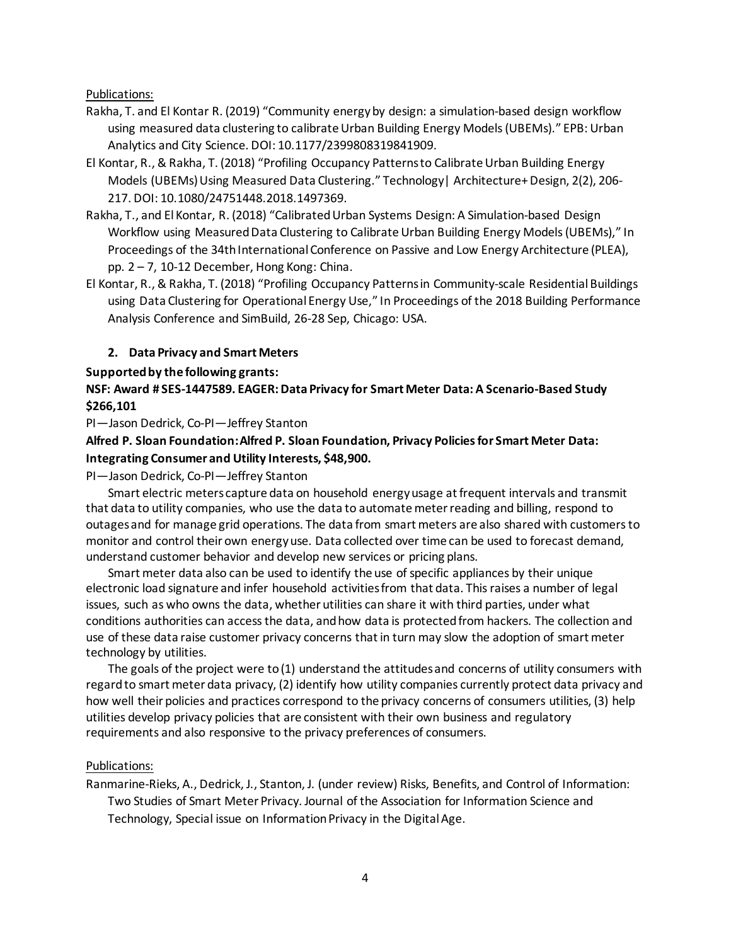Publications:

- Rakha, T. and El Kontar R. (2019) "Community energy by design: a simulation-based design workflow using measured data clustering to calibrate Urban Building Energy Models (UBEMs)." EPB: Urban Analytics and City Science. DOI: 10.1177/2399808319841909.
- El Kontar, R., & Rakha, T. (2018) "Profiling Occupancy Patterns to Calibrate Urban Building Energy Models (UBEMs) Using Measured Data Clustering." Technology| Architecture+ Design, 2(2), 206- 217. DOI: 10.1080/24751448.2018.1497369.
- Rakha, T., and El Kontar, R. (2018) "Calibrated Urban Systems Design: A Simulation-based Design Workflow using Measured Data Clustering to Calibrate Urban Building Energy Models (UBEMs)," In Proceedings of the 34th International Conference on Passive and Low Energy Architecture (PLEA), pp. 2 – 7, 10-12 December, Hong Kong: China.
- El Kontar, R., & Rakha, T. (2018) "Profiling Occupancy Patterns in Community-scale Residential Buildings using Data Clustering for Operational Energy Use," In Proceedings of the 2018 Building Performance Analysis Conference and SimBuild, 26-28 Sep, Chicago: USA.

#### **2. Data Privacy and Smart Meters**

#### **Supported by the following grants:**

## **NSF: Award # SES-1447589. EAGER: Data Privacy for Smart Meter Data: A Scenario-Based Study \$266,101**

PI—Jason Dedrick, Co-PI—Jeffrey Stanton

**Alfred P. Sloan Foundation: Alfred P. Sloan Foundation, Privacy Policies for Smart Meter Data: Integrating Consumer and Utility Interests, \$48,900.** 

PI—Jason Dedrick, Co-PI—Jeffrey Stanton

Smart electric meters capture data on household energy usage at frequent intervals and transmit that data to utility companies, who use the data to automate meter reading and billing, respond to outages and for manage grid operations. The data from smart meters are also shared with customers to monitor and control their own energy use. Data collected over time can be used to forecast demand, understand customer behavior and develop new services or pricing plans.

Smart meter data also can be used to identify the use of specific appliances by their unique electronic load signature and infer household activities from that data. This raises a number of legal issues, such as who owns the data, whether utilities can share it with third parties, under what conditions authorities can access the data, and how data is protected from hackers. The collection and use of these data raise customer privacy concerns that in turn may slow the adoption of smart meter technology by utilities.

The goals of the project were to (1) understand the attitudes and concerns of utility consumers with regard to smart meter data privacy, (2) identify how utility companies currently protect data privacy and how well their policies and practices correspond to the privacy concerns of consumers utilities, (3) help utilities develop privacy policies that are consistent with their own business and regulatory requirements and also responsive to the privacy preferences of consumers.

#### Publications:

Ranmarine-Rieks, A., Dedrick, J., Stanton, J. (under review) Risks, Benefits, and Control of Information: Two Studies of Smart Meter Privacy. Journal of the Association for Information Science and Technology, Special issue on Information Privacy in the Digital Age.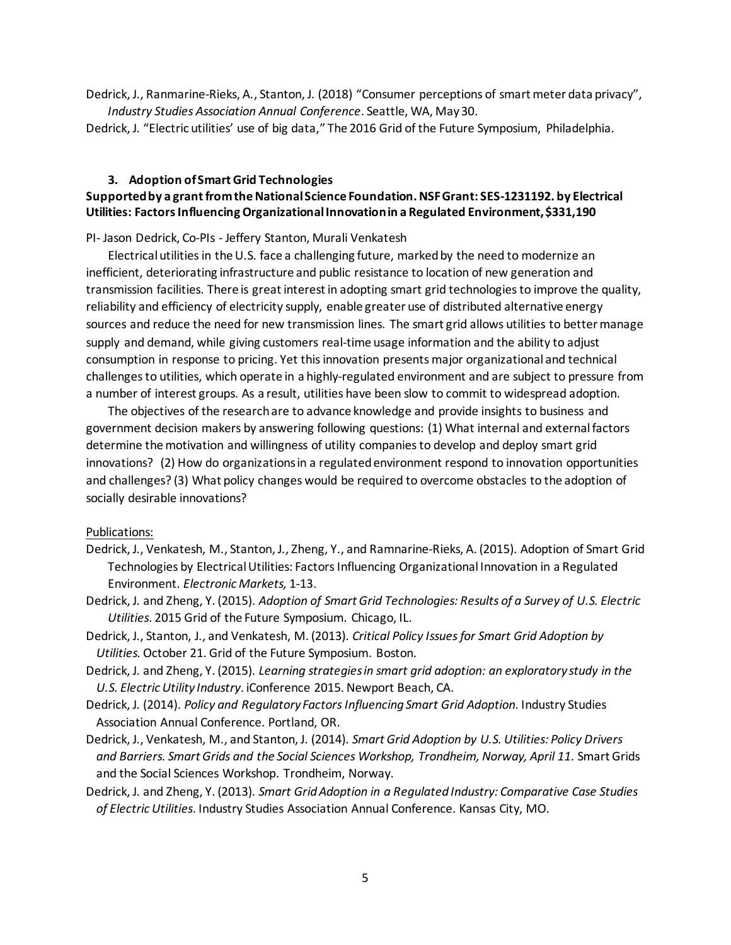Dedrick, J., Ranmarine-Rieks, A., Stanton, J. (2018) "Consumer perceptions of smart meter data privacy", *Industry Studies Association Annual Conference*. Seattle, WA, May 30.

Dedrick, J. "Electric utilities' use of big data," The 2016 Grid of the Future Symposium, Philadelphia.

## **3. Adoption of Smart Grid Technologies**

## **Supported by a grant from the National Science Foundation. NSF Grant: SES-1231192. by Electrical Utilities: Factors Influencing Organizational Innovation in a Regulated Environment, \$331,190**

PI- Jason Dedrick, Co-PIs - Jeffery Stanton, Murali Venkatesh

Electrical utilities in the U.S. face a challenging future, marked by the need to modernize an inefficient, deteriorating infrastructure and public resistance to location of new generation and transmission facilities. There is great interest in adopting smart grid technologies to improve the quality, reliability and efficiency of electricity supply, enable greater use of distributed alternative energy sources and reduce the need for new transmission lines. The smart grid allows utilities to better manage supply and demand, while giving customers real-time usage information and the ability to adjust consumption in response to pricing. Yet this innovation presents major organizational and technical challenges to utilities, which operate in a highly-regulated environment and are subject to pressure from a number of interest groups. As a result, utilities have been slow to commit to widespread adoption.

The objectives of the research are to advance knowledge and provide insights to business and government decision makers by answering following questions: (1) What internal and external factors determine the motivation and willingness of utility companies to develop and deploy smart grid innovations? (2) How do organizations in a regulated environment respond to innovation opportunities and challenges? (3) What policy changes would be required to overcome obstacles to the adoption of socially desirable innovations?

## Publications:

- Dedrick, J., Venkatesh, M., Stanton, J., Zheng, Y., and Ramnarine-Rieks, A. (2015). Adoption of Smart Grid Technologies by Electrical Utilities: Factors Influencing Organizational Innovation in a Regulated Environment. *Electronic Markets,* 1-13.
- Dedrick, J. and Zheng, Y. (2015). *Adoption of Smart Grid Technologies: Results of a Survey of U.S. Electric Utilities*. 2015 Grid of the Future Symposium. Chicago, IL.
- Dedrick, J., Stanton, J., and Venkatesh, M. (2013). *Critical Policy Issues for Smart Grid Adoption by Utilities.* October 21. Grid of the Future Symposium. Boston.
- Dedrick, J. and Zheng, Y. (2015). *Learning strategies in smart grid adoption: an exploratory study in the U.S. Electric Utility Industry*. iConference 2015. Newport Beach, CA.
- Dedrick, J. (2014). *Policy and Regulatory Factors Influencing Smart Grid Adoption.* Industry Studies Association Annual Conference. Portland, OR.
- Dedrick, J., Venkatesh, M., and Stanton, J. (2014). *Smart Grid Adoption by U.S. Utilities: Policy Drivers and Barriers. Smart Grids and the Social Sciences Workshop, Trondheim, Norway, April 11*. Smart Grids and the Social Sciences Workshop. Trondheim, Norway.
- Dedrick, J. and Zheng, Y. (2013). *Smart Grid Adoption in a Regulated Industry: Comparative Case Studies of Electric Utilities*. Industry Studies Association Annual Conference. Kansas City, MO.